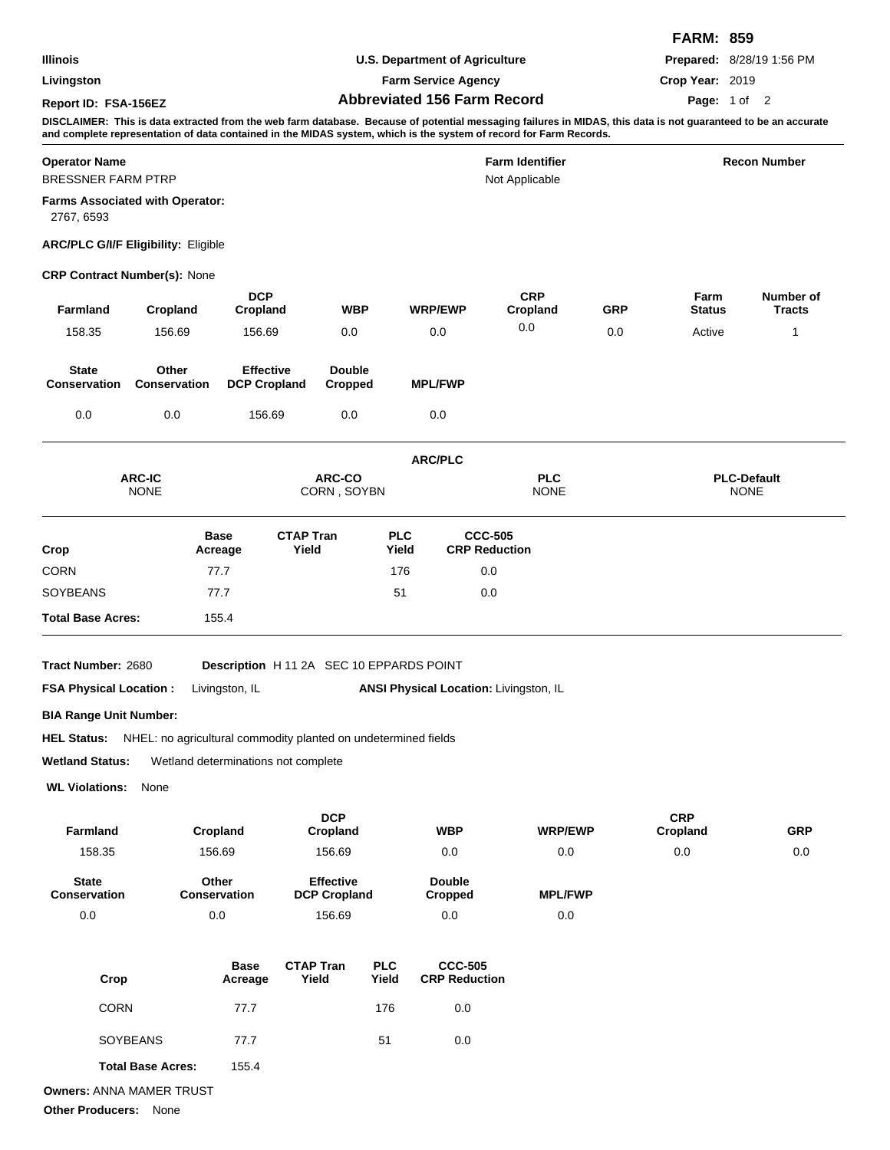| Illinois<br>Livingston<br>Report ID: FSA-156EZ    |                                                                |                                         |                                                    | <b>U.S. Department of Agriculture</b><br><b>Farm Service Agency</b><br><b>Abbreviated 156 Farm Record</b><br>DISCLAIMER: This is data extracted from the web farm database. Because of potential messaging failures in MIDAS, this data is not guaranteed to be an accurate<br>and complete representation of data contained in the MIDAS system, which is the system of record for Farm Records. |                                        |                                        |                |                                   | <b>FARM: 859</b><br>Crop Year: 2019 | Prepared: 8/28/19 1:56 PM<br>Page: 1 of 2 |  |
|---------------------------------------------------|----------------------------------------------------------------|-----------------------------------------|----------------------------------------------------|---------------------------------------------------------------------------------------------------------------------------------------------------------------------------------------------------------------------------------------------------------------------------------------------------------------------------------------------------------------------------------------------------|----------------------------------------|----------------------------------------|----------------|-----------------------------------|-------------------------------------|-------------------------------------------|--|
| <b>Operator Name</b><br><b>BRESSNER FARM PTRP</b> |                                                                |                                         |                                                    | <b>Farm Identifier</b><br>Not Applicable                                                                                                                                                                                                                                                                                                                                                          |                                        |                                        |                | <b>Recon Number</b>               |                                     |                                           |  |
| 2767, 6593                                        | <b>Farms Associated with Operator:</b>                         |                                         |                                                    |                                                                                                                                                                                                                                                                                                                                                                                                   |                                        |                                        |                |                                   |                                     |                                           |  |
|                                                   | <b>ARC/PLC G/I/F Eligibility: Eligible</b>                     |                                         |                                                    |                                                                                                                                                                                                                                                                                                                                                                                                   |                                        |                                        |                |                                   |                                     |                                           |  |
|                                                   | <b>CRP Contract Number(s): None</b>                            |                                         |                                                    |                                                                                                                                                                                                                                                                                                                                                                                                   |                                        |                                        |                |                                   |                                     |                                           |  |
| <b>Farmland</b>                                   | Cropland                                                       | <b>DCP</b><br>Cropland                  |                                                    | <b>WBP</b>                                                                                                                                                                                                                                                                                                                                                                                        | <b>WRP/EWP</b>                         | <b>CRP</b><br>Cropland                 |                | GRP                               | Farm<br><b>Status</b>               | Number of<br><b>Tracts</b>                |  |
| 158.35                                            | 156.69                                                         | 156.69                                  |                                                    | 0.0                                                                                                                                                                                                                                                                                                                                                                                               | 0.0                                    | 0.0                                    |                | 0.0                               | Active                              | 1                                         |  |
| <b>State</b><br><b>Conservation</b>               | Other<br><b>Conservation</b>                                   | <b>Effective</b><br><b>DCP Cropland</b> |                                                    | <b>Double</b><br>Cropped                                                                                                                                                                                                                                                                                                                                                                          | <b>MPL/FWP</b>                         |                                        |                |                                   |                                     |                                           |  |
| 0.0                                               | 0.0                                                            | 156.69                                  |                                                    | 0.0                                                                                                                                                                                                                                                                                                                                                                                               | 0.0                                    |                                        |                |                                   |                                     |                                           |  |
|                                                   |                                                                |                                         |                                                    |                                                                                                                                                                                                                                                                                                                                                                                                   | <b>ARC/PLC</b>                         |                                        |                |                                   |                                     |                                           |  |
| <b>ARC-IC</b><br><b>NONE</b>                      |                                                                |                                         | ARC-CO<br><b>PLC</b><br>CORN, SOYBN<br><b>NONE</b> |                                                                                                                                                                                                                                                                                                                                                                                                   |                                        |                                        |                | <b>PLC-Default</b><br><b>NONE</b> |                                     |                                           |  |
| Crop                                              |                                                                | <b>Base</b><br>Acreage                  | <b>CTAP Tran</b><br>Yield                          |                                                                                                                                                                                                                                                                                                                                                                                                   | <b>PLC</b><br>Yield                    | <b>CCC-505</b><br><b>CRP Reduction</b> |                |                                   |                                     |                                           |  |
| <b>CORN</b>                                       |                                                                | 77.7                                    |                                                    |                                                                                                                                                                                                                                                                                                                                                                                                   | 176                                    | 0.0                                    |                |                                   |                                     |                                           |  |
| <b>SOYBEANS</b><br>77.7                           |                                                                |                                         |                                                    |                                                                                                                                                                                                                                                                                                                                                                                                   | 51                                     | 0.0                                    |                |                                   |                                     |                                           |  |
| <b>Total Base Acres:</b>                          |                                                                | 155.4                                   |                                                    |                                                                                                                                                                                                                                                                                                                                                                                                   |                                        |                                        |                |                                   |                                     |                                           |  |
| Tract Number: 2680                                |                                                                |                                         | Description H 11 2A SEC 10 EPPARDS POINT           |                                                                                                                                                                                                                                                                                                                                                                                                   |                                        |                                        |                |                                   |                                     |                                           |  |
| <b>FSA Physical Location:</b>                     |                                                                | Livingston, IL                          |                                                    |                                                                                                                                                                                                                                                                                                                                                                                                   |                                        | ANSI Physical Location: Livingston, IL |                |                                   |                                     |                                           |  |
| <b>BIA Range Unit Number:</b>                     |                                                                |                                         |                                                    |                                                                                                                                                                                                                                                                                                                                                                                                   |                                        |                                        |                |                                   |                                     |                                           |  |
| <b>HEL Status:</b>                                | NHEL: no agricultural commodity planted on undetermined fields |                                         |                                                    |                                                                                                                                                                                                                                                                                                                                                                                                   |                                        |                                        |                |                                   |                                     |                                           |  |
| <b>Wetland Status:</b>                            | Wetland determinations not complete                            |                                         |                                                    |                                                                                                                                                                                                                                                                                                                                                                                                   |                                        |                                        |                |                                   |                                     |                                           |  |
| <b>WL Violations:</b>                             | None                                                           |                                         |                                                    |                                                                                                                                                                                                                                                                                                                                                                                                   |                                        |                                        |                |                                   |                                     |                                           |  |
| Farmland                                          |                                                                |                                         | <b>DCP</b><br>Cropland                             |                                                                                                                                                                                                                                                                                                                                                                                                   | <b>WBP</b>                             |                                        | <b>WRP/EWP</b> |                                   | <b>CRP</b><br>Cropland              | <b>GRP</b>                                |  |
| 158.35                                            | Cropland<br>156.69                                             |                                         | 156.69                                             |                                                                                                                                                                                                                                                                                                                                                                                                   | 0.0                                    |                                        | 0.0            |                                   | 0.0                                 | 0.0                                       |  |
| <b>State</b><br>Conservation                      | Other<br><b>Conservation</b>                                   |                                         |                                                    | <b>Effective</b><br><b>DCP Cropland</b>                                                                                                                                                                                                                                                                                                                                                           |                                        |                                        | <b>MPL/FWP</b> |                                   |                                     |                                           |  |
| 0.0                                               | 0.0                                                            |                                         | 156.69                                             |                                                                                                                                                                                                                                                                                                                                                                                                   | <b>Cropped</b><br>0.0                  |                                        | 0.0            |                                   |                                     |                                           |  |
| Crop                                              |                                                                | <b>Base</b><br>Acreage                  | <b>CTAP Tran</b><br>Yield                          | <b>PLC</b><br>Yield                                                                                                                                                                                                                                                                                                                                                                               | <b>CCC-505</b><br><b>CRP Reduction</b> |                                        |                |                                   |                                     |                                           |  |

| <b>CORN</b>              | 77.7  | 176 | 0.0 |
|--------------------------|-------|-----|-----|
| <b>SOYBEANS</b>          | 77.7  | 51  | 0.0 |
| <b>Total Base Acres:</b> | 155.4 |     |     |

**Owners:** ANNA MAMER TRUST

**Other Producers:** None